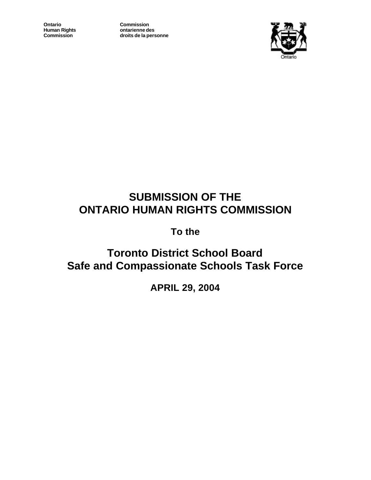**Ontario Commission**<br> **Commission**<br> **Commission**<br> **Commission** 

**Human Rights ontarienne des Commission droits de la personne**



# **SUBMISSION OF THE ONTARIO HUMAN RIGHTS COMMISSION**

**To the**

**Toronto District School Board Safe and Compassionate Schools Task Force**

**APRIL 29, 2004**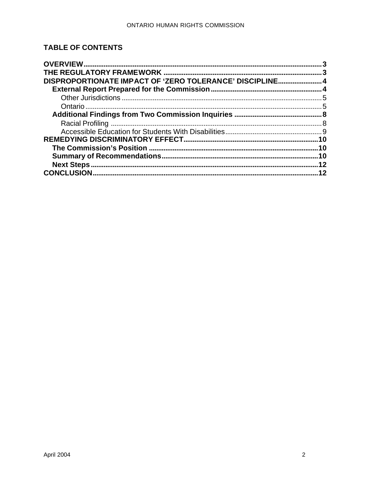# **TABLE OF CONTENTS**

| DISPROPORTIONATE IMPACT OF 'ZERO TOLERANCE' DISCIPLINE4 |           |
|---------------------------------------------------------|-----------|
|                                                         |           |
|                                                         |           |
|                                                         |           |
|                                                         |           |
|                                                         |           |
|                                                         |           |
|                                                         | <b>10</b> |
|                                                         | .10       |
|                                                         | <b>10</b> |
|                                                         | 12        |
|                                                         | 12        |
|                                                         |           |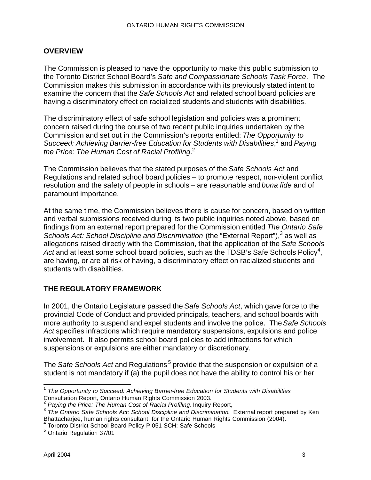## **OVERVIEW**

The Commission is pleased to have the opportunity to make this public submission to the Toronto District School Board's *Safe and Compassionate Schools Task Force*. The Commission makes this submission in accordance with its previously stated intent to examine the concern that the *Safe Schools Act* and related school board policies are having a discriminatory effect on racialized students and students with disabilities.

The discriminatory effect of safe school legislation and policies was a prominent concern raised during the course of two recent public inquiries undertaken by the Commission and set out in the Commission's reports entitled: *The Opportunity to*  Succeed: Achieving Barrier-free Education for Students with Disabilities,<sup>1</sup> and Paying *the Price: The Human Cost of Racial Profiling*. 2

The Commission believes that the stated purposes of the *Safe Schools Act* and Regulations and related school board policies – to promote respect, non-violent conflict resolution and the safety of people in schools – are reasonable and *bona fide* and of paramount importance.

At the same time, the Commission believes there is cause for concern, based on written and verbal submissions received during its two public inquiries noted above, based on findings from an external report prepared for the Commission entitled *The Ontario Safe*  Schools Act: School Discipline and Discrimination (the "External Report"),<sup>3</sup> as well as allegations raised directly with the Commission, that the application of the *Safe Schools*  Act and at least some school board policies, such as the TDSB's Safe Schools Policy<sup>4</sup>, are having, or are at risk of having, a discriminatory effect on racialized students and students with disabilities.

# **THE REGULATORY FRAMEWORK**

In 2001, the Ontario Legislature passed the *Safe Schools Act*, which gave force to the provincial Code of Conduct and provided principals, teachers, and school boards with more authority to suspend and expel students and involve the police. The *Safe Schools Act* specifies infractions which require mandatory suspensions, expulsions and police involvement. It also permits school board policies to add infractions for which suspensions or expulsions are either mandatory or discretionary.

The *Safe Schools Act* and Regulations<sup>5</sup> provide that the suspension or expulsion of a student is not mandatory if (a) the pupil does not have the ability to control his or her

 1 *The Opportunity to Succeed: Achieving Barrier-free Education for Students with Disabilities*. Consultation Report, Ontario Human Rights Commission 2003.<br>2 Devine the Price: The Uuman Ceat of Regial Profiling Inquiry

*Paying the Price: The Human Cost of Racial Profiling*. Inquiry Report,

<sup>3</sup> *The Ontario Safe Schools Act: School Discipline and Discrimination*. External report prepared by Ken Bhattacharjee, human rights consultant, for the Ontario Human Rights Commission (2004).<br><sup>4</sup> Toronto District School Board Policy P.051 SCH: Safe Schools

<sup>&</sup>lt;sup>5</sup> Ontario Regulation 37/01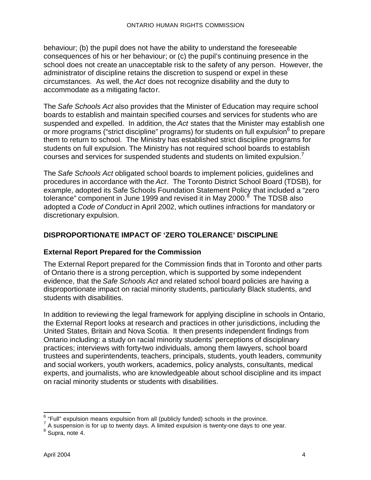behaviour; (b) the pupil does not have the ability to understand the foreseeable consequences of his or her behaviour; or (c) the pupil's continuing presence in the school does not create an unacceptable risk to the safety of any person. However, the administrator of discipline retains the discretion to suspend or expel in these circumstances. As well, the *Act* does not recognize disability and the duty to accommodate as a mitigating factor.

The *Safe Schools Act* also provides that the Minister of Education may require school boards to establish and maintain specified courses and services for students who are suspended and expelled. In addition, the *Act* states that the Minister may establish one or more programs ("strict discipline" programs) for students on full expulsion<sup>6</sup> to prepare them to return to school. The Ministry has established strict discipline programs for students on full expulsion. The Ministry has not required school boards to establish courses and services for suspended students and students on limited expulsion.<sup>7</sup>

The *Safe Schools Act* obligated school boards to implement policies, guidelines and procedures in accordance with the *Act*. The Toronto District School Board (TDSB), for example, adopted its Safe Schools Foundation Statement Policy that included a "zero tolerance" component in June 1999 and revised it in May 2000. $^8\,$  The TDSB also adopted a *Code of Conduct* in April 2002, which outlines infractions for mandatory or discretionary expulsion.

## **DISPROPORTIONATE IMPACT OF 'ZERO TOLERANCE' DISCIPLINE**

## **External Report Prepared for the Commission**

The External Report prepared for the Commission finds that in Toronto and other parts of Ontario there is a strong perception, which is supported by some independent evidence, that the *Safe Schools Act* and related school board policies are having a disproportionate impact on racial minority students, particularly Black students, and students with disabilities.

In addition to reviewing the legal framework for applying discipline in schools in Ontario, the External Report looks at research and practices in other jurisdictions, including the United States, Britain and Nova Scotia. It then presents independent findings from Ontario including: a study on racial minority students' perceptions of disciplinary practices; interviews with forty-two individuals, among them lawyers, school board trustees and superintendents, teachers, principals, students, youth leaders, community and social workers, youth workers, academics, policy analysts, consultants, medical experts, and journalists, who are knowledgeable about school discipline and its impact on racial minority students or students with disabilities.

<sup>&</sup>lt;u>e</u><br>
<sup>6</sup> "Full" expulsion means expulsion from all (publicly funded) schools in the province.

 $7$  A suspension is for up to twenty days. A limited expulsion is twenty-one days to one year.

<sup>&</sup>lt;sup>8</sup> Supra, note 4.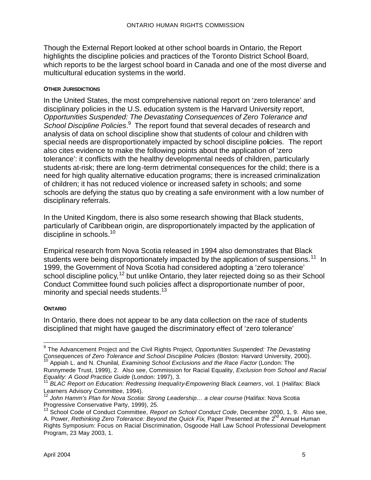Though the External Report looked at other school boards in Ontario, the Report highlights the discipline policies and practices of the Toronto District School Board, which reports to be the largest school board in Canada and one of the most diverse and multicultural education systems in the world.

#### **OTHER JURISDICTIONS**

In the United States, the most comprehensive national report on 'zero tolerance' and disciplinary policies in the U.S. education system is the Harvard University report, *Opportunities Suspended: The Devastating Consequences of Zero Tolerance and*  School Discipline Policies.<sup>9</sup> The report found that several decades of research and analysis of data on school discipline show that students of colour and children with special needs are disproportionately impacted by school discipline policies. The report also cites evidence to make the following points about the application of 'zero tolerance': it conflicts with the healthy developmental needs of children, particularly students at-risk; there are long-term detrimental consequences for the child; there is a need for high quality alternative education programs; there is increased criminalization of children; it has not reduced violence or increased safety in schools; and some schools are defying the status quo by creating a safe environment with a low number of disciplinary referrals.

In the United Kingdom, there is also some research showing that Black students, particularly of Caribbean origin, are disproportionately impacted by the application of discipline in schools.<sup>10</sup>

Empirical research from Nova Scotia released in 1994 also demonstrates that Black students were being disproportionately impacted by the application of suspensions.<sup>11</sup> In 1999, the Government of Nova Scotia had considered adopting a 'zero tolerance' school discipline policy,  $12$  but unlike Ontario, they later rejected doing so as their School Conduct Committee found such policies affect a disproportionate number of poor, minority and special needs students.<sup>13</sup>

#### **ONTARIO**

In Ontario, there does not appear to be any data collection on the race of students disciplined that might have gauged the discriminatory effect of 'zero tolerance'

 $\overline{\phantom{a}}$ 9 The Advancement Project and the Civil Rights Project, *Opportunities Suspended: The Devastating Consequences of Zero Tolerance and School Discipline Policies* (Boston: Harvard University, 2000).

<sup>10</sup> Appiah L. and N. Chunilal*, Examining School Exclusions and the Race Factor* (London: The Runnymede Trust, 1999), 2. Also see, Commission for Racial Equality, *Exclusion from School and Racial Equality: A Good Practice Guide* (London: 1997), 3.

<sup>11</sup> *BLAC Report on Education: Redressing Inequality-Empowering* Black *Learners*, vol. 1 (Halifax: Black Learners Advisory Committee, 1994).

<sup>12</sup> *John Hamm's Plan for Nova Scotia: Strong Leadership… a clear course* (Halifax: Nova Scotia Progressive Conservative Party, 1999), 25.

<sup>&</sup>lt;sup>13</sup> School Code of Conduct Committee, *Report on School Conduct Code*, December 2000, 1, 9. Also see, A. Power, *Rethinking Zero Tolerance: Beyond the Quick Fix*, Paper Presented at the 2<sup>nd</sup> Annual Human Rights Symposium: Focus on Racial Discrimination, Osgoode Hall Law School Professional Development Program, 23 May 2003, 1.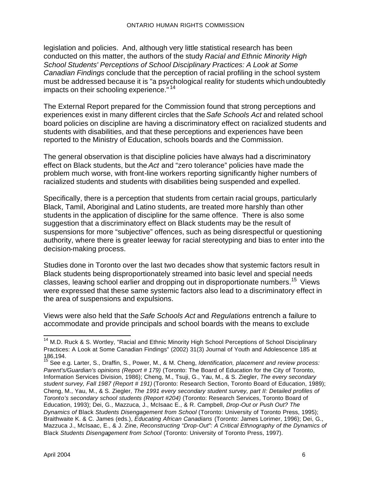legislation and policies. And, although very little statistical research has been conducted on this matter, the authors of the study *Racial and Ethnic Minority High School Students' Perceptions of School Disciplinary Practices: A Look at Some Canadian Findings* conclude that the perception of racial profiling in the school system must be addressed because it is "a psychological reality for students which undoubtedly impacts on their schooling experience." <sup>14</sup>

The External Report prepared for the Commission found that strong perceptions and experiences exist in many different circles that the *Safe Schools Act* and related school board policies on discipline are having a discriminatory effect on racialized students and students with disabilities, and that these perceptions and experiences have been reported to the Ministry of Education, schools boards and the Commission.

The general observation is that discipline policies have always had a discriminatory effect on Black students, but the *Act* and "zero tolerance" policies have made the problem much worse, with front-line workers reporting significantly higher numbers of racialized students and students with disabilities being suspended and expelled.

Specifically, there is a perception that students from certain racial groups, particularly Black, Tamil, Aboriginal and Latino students, are treated more harshly than other students in the application of discipline for the same offence. There is also some suggestion that a discriminatory effect on Black students may be the result of suspensions for more "subjective" offences, such as being disrespectful or questioning authority, where there is greater leeway for racial stereotyping and bias to enter into the decision-making process.

Studies done in Toronto over the last two decades show that systemic factors result in Black students being disproportionately streamed into basic level and special needs classes, leaving school earlier and dropping out in disproportionate numbers.<sup>15</sup> Views were expressed that these same systemic factors also lead to a discriminatory effect in the area of suspensions and expulsions.

Views were also held that the *Safe Schools Act* and *Regulations* entrench a failure to accommodate and provide principals and school boards with the means to exclude

 $\overline{\phantom{a}}$ <sup>14</sup> M.D. Ruck & S. Wortley, "Racial and Ethnic Minority High School Perceptions of School Disciplinary Practices: A Look at Some Canadian Findings" (2002) 31(3) Journal of Youth and Adolescence 185 at 186,194.

<sup>15</sup> See e.g. Larter, S., Draffin, S., Power, M., & M. Cheng, *Identification, placement and review process: Parent's/Guardian's opinions (Report # 179)* (Toronto: The Board of Education for the City of Toronto, Information Services Division, 1986); Cheng, M., Tsuji, G., Yau, M., & S. Ziegler, *The every secondary student survey, Fall 1987 (Report # 191)* (Toronto: Research Section, Toronto Board of Education, 1989); Cheng, M., Yau, M., & S. Ziegler, *The 1991 every secondary student survey, part II: Detailed profiles of Toronto's secondary school students (Report #204)* (Toronto: Research Services, Toronto Board of Education, 1993); Dei, G., Mazzuca, J., McIsaac E., & R. Campbell, *Drop-Out or Push Out? The Dynamics of* Black *Students Disengagement from School* (Toronto: University of Toronto Press, 1995); Braithwaite K. & C. James (eds.), *Educating African Canadians* (Toronto: James Lorimer, 1996); Dei, G., Mazzuca J., McIsaac, E., & J. Zine, *Reconstructing "Drop-Out": A Critical Ethnography of the Dynamics of*  Black *Students Disengagement from School* (Toronto: University of Toronto Press, 1997).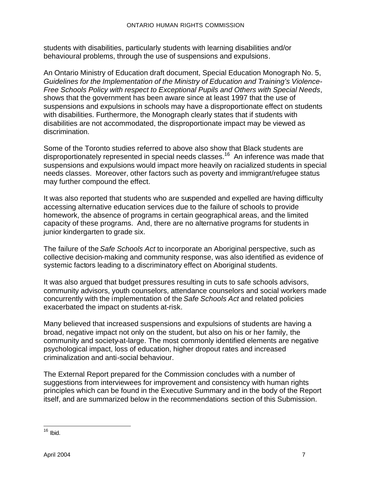students with disabilities, particularly students with learning disabilities and/or behavioural problems, through the use of suspensions and expulsions.

An Ontario Ministry of Education draft document, Special Education Monograph No. 5, *Guidelines for the Implementation of the Ministry of Education and Training's Violence-Free Schools Policy with respect to Exceptional Pupils and Others with Special Needs*, shows that the government has been aware since at least 1997 that the use of suspensions and expulsions in schools may have a disproportionate effect on students with disabilities. Furthermore, the Monograph clearly states that if students with disabilities are not accommodated, the disproportionate impact may be viewed as discrimination.

Some of the Toronto studies referred to above also show that Black students are disproportionately represented in special needs classes.<sup>16</sup> An inference was made that suspensions and expulsions would impact more heavily on racialized students in special needs classes. Moreover, other factors such as poverty and immigrant/refugee status may further compound the effect.

It was also reported that students who are suspended and expelled are having difficulty accessing alternative education services due to the failure of schools to provide homework, the absence of programs in certain geographical areas, and the limited capacity of these programs. And, there are no alternative programs for students in junior kindergarten to grade six.

The failure of the *Safe Schools Act* to incorporate an Aboriginal perspective, such as collective decision-making and community response, was also identified as evidence of systemic factors leading to a discriminatory effect on Aboriginal students.

It was also argued that budget pressures resulting in cuts to safe schools advisors, community advisors, youth counselors, attendance counselors and social workers made concurrently with the implementation of the *Safe Schools Act* and related policies exacerbated the impact on students at-risk.

Many believed that increased suspensions and expulsions of students are having a broad, negative impact not only on the student, but also on his or her family, the community and society-at-large. The most commonly identified elements are negative psychological impact, loss of education, higher dropout rates and increased criminalization and anti-social behaviour.

The External Report prepared for the Commission concludes with a number of suggestions from interviewees for improvement and consistency with human rights principles which can be found in the Executive Summary and in the body of the Report itself, and are summarized below in the recommendations section of this Submission.

 $\overline{a}$ <sup>16</sup> Ibid.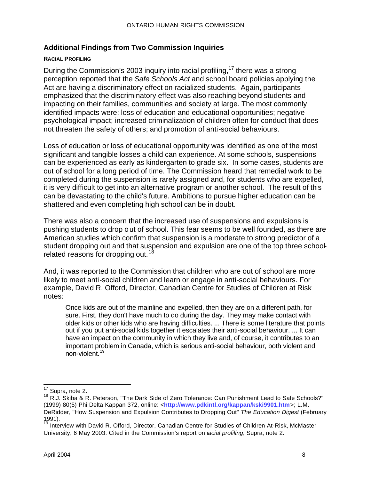## **Additional Findings from Two Commission Inquiries**

#### **RACIAL PROFILING**

During the Commission's 2003 inquiry into racial profiling,  $17$  there was a strong perception reported that the *Safe Schools Act* and school board policies applying the Act are having a discriminatory effect on racialized students. Again, participants emphasized that the discriminatory effect was also reaching beyond students and impacting on their families, communities and society at large. The most commonly identified impacts were: loss of education and educational opportunities; negative psychological impact; increased criminalization of children often for conduct that does not threaten the safety of others; and promotion of anti-social behaviours.

Loss of education or loss of educational opportunity was identified as one of the most significant and tangible losses a child can experience. At some schools, suspensions can be experienced as early as kindergarten to grade six. In some cases, students are out of school for a long period of time. The Commission heard that remedial work to be completed during the suspension is rarely assigned and, for students who are expelled, it is very difficult to get into an alternative program or another school. The result of this can be devastating to the child's future. Ambitions to pursue higher education can be shattered and even completing high school can be in doubt.

There was also a concern that the increased use of suspensions and expulsions is pushing students to drop out of school. This fear seems to be well founded, as there are American studies which confirm that suspension is a moderate to strong predictor of a student dropping out and that suspension and expulsion are one of the top three schoolrelated reasons for dropping out.<sup>18</sup>

And, it was reported to the Commission that children who are out of school are more likely to meet anti-social children and learn or engage in anti-social behaviours. For example, David R. Offord, Director, Canadian Centre for Studies of Children at Risk notes:

Once kids are out of the mainline and expelled, then they are on a different path, for sure. First, they don't have much to do during the day. They may make contact with older kids or other kids who are having difficulties. ... There is some literature that points out if you put anti-social kids together it escalates their anti-social behaviour. ... It can have an impact on the community in which they live and, of course, it contributes to an important problem in Canada, which is serious anti-social behaviour, both violent and non-violent.<sup>19</sup>

 $\overline{a}$  $17$  Supra, note 2.

<sup>18</sup> R.J. Skiba & R. Peterson, "The Dark Side of Zero Tolerance: Can Punishment Lead to Safe Schools?" (1999) 80(5) Phi Delta Kappan 372, online: <**http://www.pdkintl.org/kappan/kski9901.htm**>; L.M. DeRidder, "How Suspension and Expulsion Contributes to Dropping Out" *The Education Digest* (February 1991).

<sup>&</sup>lt;sup>19</sup> Interview with David R. Offord, Director, Canadian Centre for Studies of Children At-Risk, McMaster University, 6 May 2003. Cited in the Commission's report on r*acial profiling*, Supra, note 2.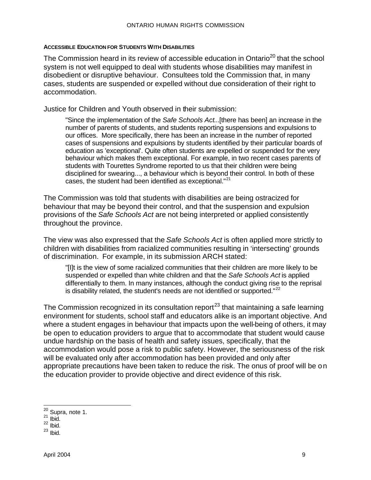#### **ACCESSIBLE EDUCATION FOR STUDENTS WITH DISABILITIES**

The Commission heard in its review of accessible education in Ontario<sup>20</sup> that the school system is not well equipped to deal with students whose disabilities may manifest in disobedient or disruptive behaviour. Consultees told the Commission that, in many cases, students are suspended or expelled without due consideration of their right to accommodation.

Justice for Children and Youth observed in their submission:

"Since the implementation of the *Safe Schools Act*...[there has been] an increase in the number of parents of students, and students reporting suspensions and expulsions to our offices. More specifically, there has been an increase in the number of reported cases of suspensions and expulsions by students identified by their particular boards of education as 'exceptional'. Quite often students are expelled or suspended for the very behaviour which makes them exceptional. For example, in two recent cases parents of students with Tourettes Syndrome reported to us that their children were being disciplined for swearing..., a behaviour which is beyond their control. In both of these cases, the student had been identified as exceptional."<sup>21</sup>

The Commission was told that students with disabilities are being ostracized for behaviour that may be beyond their control, and that the suspension and expulsion provisions of the *Safe Schools Act* are not being interpreted or applied consistently throughout the province.

The view was also expressed that the *Safe Schools Act* is often applied more strictly to children with disabilities from racialized communities resulting in 'intersecting' grounds of discrimination. For example, in its submission ARCH stated:

"[I]t is the view of some racialized communities that their children are more likely to be suspended or expelled than white children and that the *Safe Schools Act* is applied differentially to them. In many instances, although the conduct giving rise to the reprisal is disability related, the student's needs are not identified or supported." $^{22}$ 

The Commission recognized in its consultation report<sup>23</sup> that maintaining a safe learning environment for students, school staff and educators alike is an important objective. And where a student engages in behaviour that impacts upon the well-being of others, it may be open to education providers to argue that to accommodate that student would cause undue hardship on the basis of health and safety issues, specifically, that the accommodation would pose a risk to public safety. However, the seriousness of the risk will be evaluated only after accommodation has been provided and only after appropriate precautions have been taken to reduce the risk. The onus of proof will be on the education provider to provide objective and direct evidence of this risk.

 $\overline{a}$ 

 $20$  Supra, note 1.

 $21$  lbid.

 $22$  lbid.

 $23$  Ibid.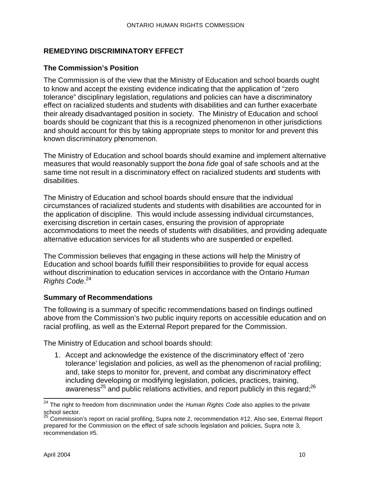## **REMEDYING DISCRIMINATORY EFFECT**

#### **The Commission's Position**

The Commission is of the view that the Ministry of Education and school boards ought to know and accept the existing evidence indicating that the application of "zero tolerance" disciplinary legislation, regulations and policies can have a discriminatory effect on racialized students and students with disabilities and can further exacerbate their already disadvantaged position in society. The Ministry of Education and school boards should be cognizant that this is a recognized phenomenon in other jurisdictions and should account for this by taking appropriate steps to monitor for and prevent this known discriminatory phenomenon.

The Ministry of Education and school boards should examine and implement alternative measures that would reasonably support the *bona fide* goal of safe schools and at the same time not result in a discriminatory effect on racialized students and students with disabilities.

The Ministry of Education and school boards should ensure that the individual circumstances of racialized students and students with disabilities are accounted for in the application of discipline. This would include assessing individual circumstances, exercising discretion in certain cases, ensuring the provision of appropriate accommodations to meet the needs of students with disabilities, and providing adequate alternative education services for all students who are suspended or expelled.

The Commission believes that engaging in these actions will help the Ministry of Education and school boards fulfill their responsibilities to provide for equal access without discrimination to education services in accordance with the Ontario *Human Rights Code*. 24

#### **Summary of Recommendations**

The following is a summary of specific recommendations based on findings outlined above from the Commission's two public inquiry reports on accessible education and on racial profiling, as well as the External Report prepared for the Commission.

The Ministry of Education and school boards should:

1. Accept and acknowledge the existence of the discriminatory effect of 'zero tolerance' legislation and policies, as well as the phenomenon of racial profiling; and, take steps to monitor for, prevent, and combat any discriminatory effect including developing or modifying legislation, policies, practices, training, awareness<sup>25</sup> and public relations activities, and report publicly in this regard;  $^{26}$ 

 $\overline{\phantom{a}}$ <sup>24</sup> The right to freedom from discrimination under the *Human Rights Code* also applies to the private school sector.

<sup>25</sup> Commission's report on racial profiling, Supra note 2, recommendation #12. Also see, External Report prepared for the Commission on the effect of safe schools legislation and policies, Supra note 3, recommendation #5.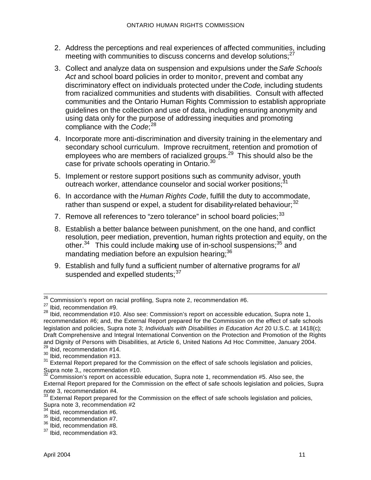- 2. Address the perceptions and real experiences of affected communities, including meeting with communities to discuss concerns and develop solutions;<sup>27</sup>
- 3. Collect and analyze data on suspension and expulsions under the *Safe Schools Act* and school board policies in order to monitor, prevent and combat any discriminatory effect on individuals protected under the *Code,* including students from racialized communities and students with disabilities. Consult with affected communities and the Ontario Human Rights Commission to establish appropriate guidelines on the collection and use of data, including ensuring anonymity and using data only for the purpose of addressing inequities and promoting compliance with the *Code*; 28
- 4. Incorporate more anti-discrimination and diversity training in the elementary and secondary school curriculum. Improve recruitment, retention and promotion of employees who are members of racialized groups.<sup>29</sup> This should also be the case for private schools operating in Ontario.<sup>30</sup>
- 5. Implement or restore support positions such as community advisor, youth outreach worker, attendance counselor and social worker positions;<sup>3</sup>
- 6. In accordance with the *Human Rights Code*, fulfill the duty to accommodate, rather than suspend or expel, a student for disability-related behaviour;<sup>32</sup>
- 7. Remove all references to "zero tolerance" in school board policies;<sup>33</sup>
- 8. Establish a better balance between punishment, on the one hand, and conflict resolution, peer mediation, prevention, human rights protection and equity, on the other. $34$  This could include making use of in-school suspensions;  $35$  and mandating mediation before an expulsion hearing: 36
- 9. Establish and fully fund a sufficient number of alternative programs for *all* suspended and expelled students;  $37$

 $\overline{\phantom{a}}$  $^{26}$  Commission's report on racial profiling, Supra note 2, recommendation #6.

<sup>27</sup> Ibid, recommendation #9.

<sup>28</sup> Ibid, recommendation #10. Also see: Commission's report on accessible education, Supra note 1, recommendation #6; and, the External Report prepared for the Commission on the effect of safe schools legislation and policies, Supra note 3; *Individuals with Disabilities in Education Act* 20 U.S.C. at 1418(c); Draft Comprehensive and Integral International Convention on the Protection and Promotion of the Rights and Dignity of Persons with Disabilities, at Article 6, United Nations Ad Hoc Committee, January 2004.  $29$  Ibid, recommendation #14.

<sup>&</sup>lt;sup>30</sup> Ibid, recommendation #13.

<sup>&</sup>lt;sup>31</sup> External Report prepared for the Commission on the effect of safe schools legislation and policies, Supra note  $3,$  recommendation #10.

Commission's report on accessible education, Supra note 1, recommendation #5. Also see, the External Report prepared for the Commission on the effect of safe schools legislation and policies, Supra note 3, recommendation #4.<br> $\frac{33 \text{ F}}{24}$ 

External Report prepared for the Commission on the effect of safe schools legislation and policies, Supra note 3, recommendation #2

 $34$  Ibid, recommendation #6.

<sup>&</sup>lt;sup>35</sup> Ibid, recommendation #7.

<sup>36</sup> Ibid, recommendation #8.

<sup>37</sup> Ibid, recommendation #3.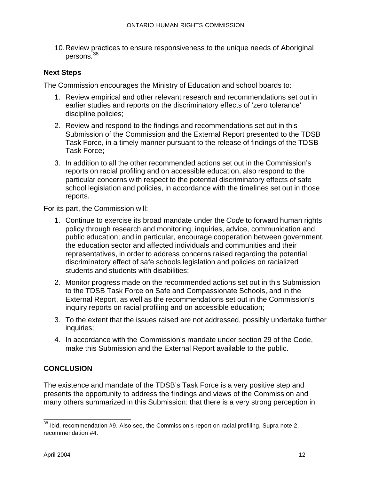10.Review practices to ensure responsiveness to the unique needs of Aboriginal persons.<sup>38</sup>

#### **Next Steps**

The Commission encourages the Ministry of Education and school boards to:

- 1. Review empirical and other relevant research and recommendations set out in earlier studies and reports on the discriminatory effects of 'zero tolerance' discipline policies;
- 2. Review and respond to the findings and recommendations set out in this Submission of the Commission and the External Report presented to the TDSB Task Force, in a timely manner pursuant to the release of findings of the TDSB Task Force;
- 3. In addition to all the other recommended actions set out in the Commission's reports on racial profiling and on accessible education, also respond to the particular concerns with respect to the potential discriminatory effects of safe school legislation and policies, in accordance with the timelines set out in those reports.

For its part, the Commission will:

- 1. Continue to exercise its broad mandate under the *Code* to forward human rights policy through research and monitoring, inquiries, advice, communication and public education; and in particular, encourage cooperation between government, the education sector and affected individuals and communities and their representatives, in order to address concerns raised regarding the potential discriminatory effect of safe schools legislation and policies on racialized students and students with disabilities;
- 2. Monitor progress made on the recommended actions set out in this Submission to the TDSB Task Force on Safe and Compassionate Schools, and in the External Report, as well as the recommendations set out in the Commission's inquiry reports on racial profiling and on accessible education;
- 3. To the extent that the issues raised are not addressed, possibly undertake further inquiries;
- 4. In accordance with the Commission's mandate under section 29 of the Code, make this Submission and the External Report available to the public.

## **CONCLUSION**

The existence and mandate of the TDSB's Task Force is a very positive step and presents the opportunity to address the findings and views of the Commission and many others summarized in this Submission: that there is a very strong perception in

 $\overline{\phantom{0}}$  $38$  lbid, recommendation #9. Also see, the Commission's report on racial profiling, Supra note 2, recommendation #4.